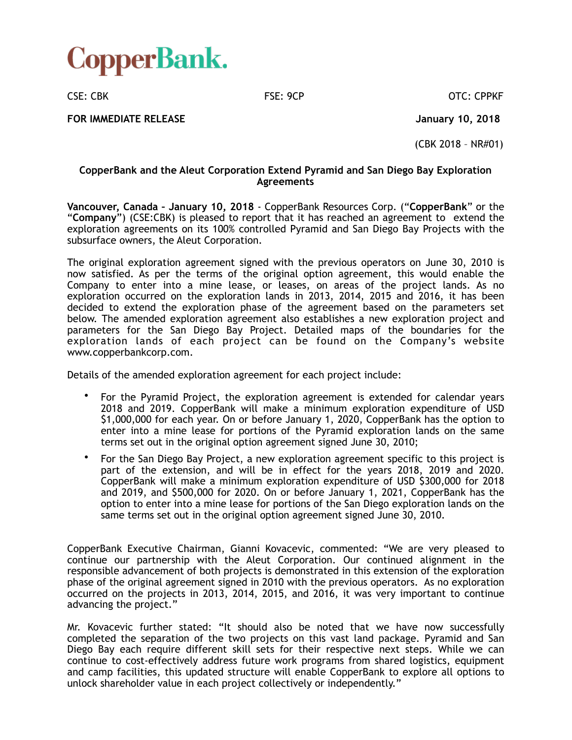

CSE: CBK FSE: 9CP CSE: CBK CSE: CPPKF

**FOR IMMEDIATE RELEASE January 10, 2018** 

(CBK 2018 – NR#01)

### **CopperBank and the Aleut Corporation Extend Pyramid and San Diego Bay Exploration Agreements**

**Vancouver, Canada – January 10, 2018** - CopperBank Resources Corp. ("**CopperBank**" or the "**Company**") (CSE:CBK) is pleased to report that it has reached an agreement to extend the exploration agreements on its 100% controlled Pyramid and San Diego Bay Projects with the subsurface owners, the Aleut Corporation.

The original exploration agreement signed with the previous operators on June 30, 2010 is now satisfied. As per the terms of the original option agreement, this would enable the Company to enter into a mine lease, or leases, on areas of the project lands. As no exploration occurred on the exploration lands in 2013, 2014, 2015 and 2016, it has been decided to extend the exploration phase of the agreement based on the parameters set below. The amended exploration agreement also establishes a new exploration project and parameters for the San Diego Bay Project. Detailed maps of the boundaries for the exploration lands of each project can be found on the Company's website www.copperbankcorp.com.

Details of the amended exploration agreement for each project include:

- For the Pyramid Project, the exploration agreement is extended for calendar years 2018 and 2019. CopperBank will make a minimum exploration expenditure of USD \$1,000,000 for each year. On or before January 1, 2020, CopperBank has the option to enter into a mine lease for portions of the Pyramid exploration lands on the same terms set out in the original option agreement signed June 30, 2010;
- For the San Diego Bay Project, a new exploration agreement specific to this project is part of the extension, and will be in effect for the years 2018, 2019 and 2020. CopperBank will make a minimum exploration expenditure of USD \$300,000 for 2018 and 2019, and \$500,000 for 2020. On or before January 1, 2021, CopperBank has the option to enter into a mine lease for portions of the San Diego exploration lands on the same terms set out in the original option agreement signed June 30, 2010.

CopperBank Executive Chairman, Gianni Kovacevic, commented: "We are very pleased to continue our partnership with the Aleut Corporation. Our continued alignment in the responsible advancement of both projects is demonstrated in this extension of the exploration phase of the original agreement signed in 2010 with the previous operators. As no exploration occurred on the projects in 2013, 2014, 2015, and 2016, it was very important to continue advancing the project."

Mr. Kovacevic further stated: "It should also be noted that we have now successfully completed the separation of the two projects on this vast land package. Pyramid and San Diego Bay each require different skill sets for their respective next steps. While we can continue to cost-effectively address future work programs from shared logistics, equipment and camp facilities, this updated structure will enable CopperBank to explore all options to unlock shareholder value in each project collectively or independently."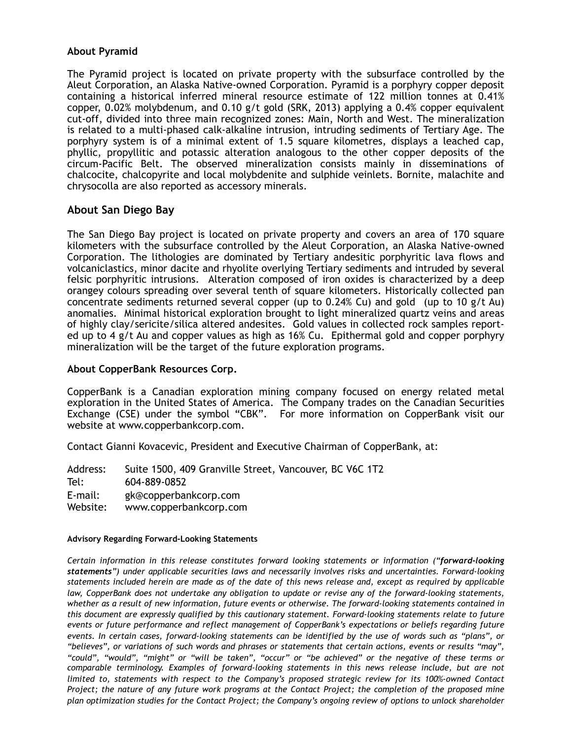## **About Pyramid**

The Pyramid project is located on private property with the subsurface controlled by the Aleut Corporation, an Alaska Native-owned Corporation. Pyramid is a porphyry copper deposit containing a historical inferred mineral resource estimate of 122 million tonnes at 0.41% copper, 0.02% molybdenum, and 0.10 g/t gold (SRK, 2013) applying a 0.4% copper equivalent cut-off, divided into three main recognized zones: Main, North and West. The mineralization is related to a multi-phased calk-alkaline intrusion, intruding sediments of Tertiary Age. The porphyry system is of a minimal extent of 1.5 square kilometres, displays a leached cap, phyllic, propyllitic and potassic alteration analogous to the other copper deposits of the circum-Pacific Belt. The observed mineralization consists mainly in disseminations of chalcocite, chalcopyrite and local molybdenite and sulphide veinlets. Bornite, malachite and chrysocolla are also reported as accessory minerals.

# **About San Diego Bay**

The San Diego Bay project is located on private property and covers an area of 170 square kilometers with the subsurface controlled by the Aleut Corporation, an Alaska Native-owned Corporation. The lithologies are dominated by Tertiary andesitic porphyritic lava flows and volcaniclastics, minor dacite and rhyolite overlying Tertiary sediments and intruded by several felsic porphyritic intrusions. Alteration composed of iron oxides is characterized by a deep orangey colours spreading over several tenth of square kilometers. Historically collected pan concentrate sediments returned several copper (up to 0.24% Cu) and gold (up to 10 g/t Au) anomalies. Minimal historical exploration brought to light mineralized quartz veins and areas of highly clay/sericite/silica altered andesites. Gold values in collected rock samples reported up to 4 g/t Au and copper values as high as 16% Cu. Epithermal gold and copper porphyry mineralization will be the target of the future exploration programs.

## **About CopperBank Resources Corp.**

CopperBank is a Canadian exploration mining company focused on energy related metal exploration in the United States of America. The Company trades on the Canadian Securities Exchange (CSE) under the symbol "CBK". For more information on CopperBank visit our website at www.copperbankcorp.com.

Contact Gianni Kovacevic, President and Executive Chairman of CopperBank, at:

Address: Suite 1500, 409 Granville Street, Vancouver, BC V6C 1T2 Tel: 604-889-0852 E-mail: gk@copperbankcorp.com Website: www.copperbankcorp.com

#### **Advisory Regarding Forward-Looking Statements**

*Certain information in this release constitutes forward looking statements or information ("forward-looking statements") under applicable securities laws and necessarily involves risks and uncertainties. Forward-looking statements included herein are made as of the date of this news release and, except as required by applicable*  law, CopperBank does not undertake any obligation to update or revise any of the forward-looking statements, *whether as a result of new information, future events or otherwise. The forward-looking statements contained in this document are expressly qualified by this cautionary statement. Forward-looking statements relate to future events or future performance and reflect management of CopperBank's expectations or beliefs regarding future events. In certain cases, forward-looking statements can be identified by the use of words such as "plans", or "believes", or variations of such words and phrases or statements that certain actions, events or results "may", "could", "would", "might" or "will be taken", "occur" or "be achieved" or the negative of these terms or comparable terminology. Examples of forward-looking statements in this news release include, but are not limited to, statements with respect to the Company's proposed strategic review for its 100%-owned Contact Project; the nature of any future work programs at the Contact Project; the completion of the proposed mine plan optimization studies for the Contact Project; the Company's ongoing review of options to unlock shareholder*